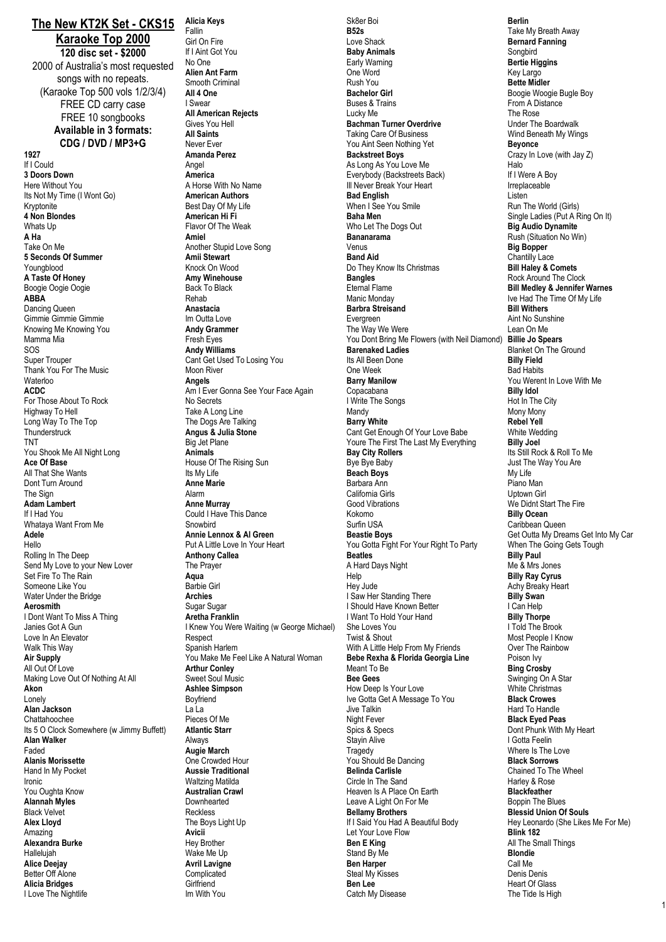## **The New KT2K Set - CKS15**

**Karaoke Top 2000**

**120 disc set - \$2000** 2000 of Australia's most requested songs with no repeats. (Karaoke Top 500 vols 1/2/3/4) FREE CD carry case FREE 10 songbooks **Available in 3 formats: CDG / DVD / MP3+G 1927** If I Could

**3 Doors Down** Here Without You Its Not My Time (I Wont Go) **Kryptonite 4 Non Blondes** Whats Up **A Ha** Take On Me **5 Seconds Of Summer** Youngblood **A Taste Of Honey** Boogie Oogie Oogie **ABBA** Dancing Queen Gimmie Gimmie Gimmie Knowing Me Knowing You Mamma Mia SOS Super Trouper Thank You For The Music Waterloo **ACDC** For Those About To Rock Highway To Hell Long Way To The Top **Thunderstruck** TNT You Shook Me All Night Long **Ace Of Base** All That She Wants Dont Turn Around The Sign **Adam Lambert** If I Had You Whataya Want From Me **Adele** Hello Rolling In The Deep Send My Love to your New Lover Set Fire To The Rain Someone Like You Water Under the Bridge **Aerosmith** I Dont Want To Miss A Thing Janies Got A Gun Love In An Elevator Walk This Way **Air Supply** All Out Of Love Making Love Out Of Nothing At All **Akon** Lonely **Alan Jackson** Chattahoochee Its 5 O Clock Somewhere (w Jimmy Buffett) **Alan Walker** Faded **Alanis Morissette** Hand In My Pocket Ironic You Oughta Know **Alannah Myles** Black Velvet **Alex Lloyd** Amazing **Alexandra Burke** Hallelujah **Alice Deejay** Better Off Alone **Alicia Bridges** I Love The Nightlife

**Alicia Keys** Fallin Girl On Fire If I Aint Got You No One **Alien Ant Farm** Smooth Criminal **All 4 One** I Swear **All American Rejects** Gives You Hell **All Saints** Never Ever **Amanda Perez** Angel **America** A Horse With No Name **American Authors** Best Day Of My Life **American Hi Fi** Flavor Of The Weak **Amiel** Another Stupid Love Song **Amii Stewart** Knock On Wood **Amy Winehouse** Back To Black Rehab **Anastacia** Im Outta Love **Andy Grammer** Fresh Eyes **Andy Williams** Cant Get Used To Losing You Moon River **Angels** Am I Ever Gonna See Your Face Again No Secrets Take A Long Line The Dogs Are Talking **Angus & Julia Stone** Big Jet Plane **Animals** House Of The Rising Sun Its My Life **Anne Marie** Alarm **Anne Murray** Could I Have This Dance Snowbird **Annie Lennox & Al Green** Put A Little Love In Your Heart **Anthony Callea** The Prayer **Aqua** Barbie Girl **Archies** Sugar Sugar **Aretha Franklin** I Knew You Were Waiting (w George Michael) Respect Spanish Harlem You Make Me Feel Like A Natural Woman **Arthur Conley** Sweet Soul Music **Ashlee Simpson Boyfriend** La La Pieces Of Me **Atlantic Starr** Always **Augie March** One Crowded Hour **Aussie Traditional** Waltzing Matilda **Australian Crawl Downhearted** Reckless The Boys Light Up **Avicii** Hey Brother Wake Me Up **Avril Lavigne Complicated Girlfriend** 

Im With You

Sk8er Boi **B52s** Love Shack **Baby Animals** Early Warning One Word Rush You **Bachelor Girl** Buses & Trains Lucky Me **Bachman Turner Overdrive** Taking Care Of Business You Aint Seen Nothing Yet **Backstreet Boys** As Long As You Love Me Everybody (Backstreets Back) Ill Never Break Your Heart **Bad English** When I See You Smile **Baha Men** Who Let The Dogs Out **Bananarama** Venus **Band Aid** Do They Know Its Christmas **Bangles** Eternal Flame Manic Monday **Barbra Streisand Evergreen** The Way We Were You Dont Bring Me Flowers (with Neil Diamond) **Barenaked Ladies** Its All Been Done One Week **Barry Manilow** Copacabana I Write The Songs Mandy **Barry White** Cant Get Enough Of Your Love Babe Youre The First The Last My Everything **Bay City Rollers** Bye Bye Baby **Beach Boys** Barbara Ann California Girls Good Vibrations Kokomo Surfin USA **Beastie Boys** You Gotta Fight For Your Right To Party **Beatles** A Hard Days Night Help Hey Jude I Saw Her Standing There I Should Have Known Better I Want To Hold Your Hand She Loves You Twist & Shout With A Little Help From My Friends **Bebe Rexha & Florida Georgia Line** Meant To Be **Bee Gees** How Deep Is Your Love Ive Gotta Get A Message To You Jive Talkin Night Fever Spics & Specs Stayin Alive **Tragedy** You Should Be Dancing **Belinda Carlisle** Circle In The Sand Heaven Is A Place On Earth Leave A Light On For Me **Bellamy Brothers** If I Said You Had A Beautiful Body Let Your Love Flow **Ben E King** Stand By Me **Ben Harper** Steal My Kisses **Ben Lee**

Catch My Disease

**Berlin** Take My Breath Away **Bernard Fanning** Songbird **Bertie Higgins** Key Largo **Bette Midler** Boogie Woogie Bugle Boy From A Distance The Rose Under The Boardwalk Wind Beneath My Wings **Beyonce** Crazy In Love (with Jay Z) Halo If I Were A Boy Irreplaceable Listen Run The World (Girls) Single Ladies (Put A Ring On It) **Big Audio Dynamite** Rush (Situation No Win) **Big Bopper** Chantilly Lace **Bill Haley & Comets** Rock Around The Clock **Bill Medley & Jennifer Warnes** Ive Had The Time Of My Life **Bill Withers** Aint No Sunshine Lean On Me **Billie Jo Spears** Blanket On The Ground **Billy Field** Bad Habits You Werent In Love With Me **Billy Idol** Hot In The City Mony Mony **Rebel Yell** White Wedding **Billy Joel** Its Still Rock & Roll To Me Just The Way You Are My Life Piano Man Uptown Girl We Didnt Start The Fire **Billy Ocean** Caribbean Queen Get Outta My Dreams Get Into My Car When The Going Gets Tough **Billy Paul** Me & Mrs Jones **Billy Ray Cyrus** Achy Breaky Heart **Billy Swan** I Can Help **Billy Thorpe** I Told The Brook Most People I Know Over The Rainbow Poison Ivy **Bing Crosby** Swinging On A Star White Christmas **Black Crowes** Hard To Handle **Black Eyed Peas** Dont Phunk With My Heart I Gotta Feelin Where Is The Love **Black Sorrows** Chained To The Wheel Harley & Rose **Blackfeather** Boppin The Blues **Blessid Union Of Souls** Hey Leonardo (She Likes Me For Me) **Blink 182** All The Small Things **Blondie** Call Me Denis Denis Heart Of Glass The Tide Is High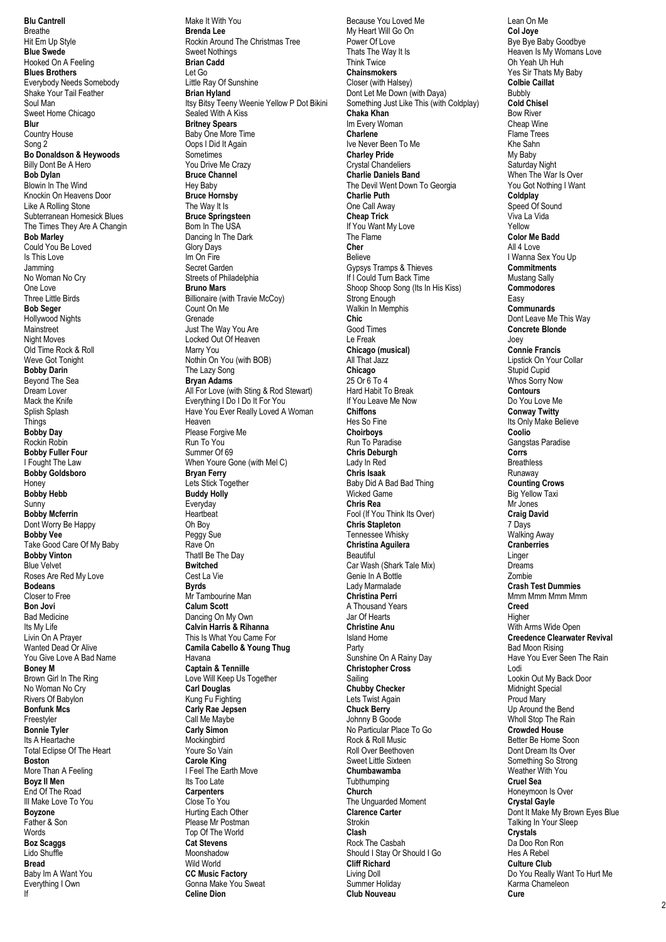**Blu Cantrell** Breathe Hit Em Up Style **Blue Swede** Hooked On A Feeling **Blues Brothers** Everybody Needs Somebody Shake Your Tail Feather Soul Man Sweet Home Chicago **Blur** Country House Song 2 **Bo Donaldson & Heywoods** Billy Dont Be A Hero **Bob Dylan** Blowin In The Wind Knockin On Heavens Door Like A Rolling Stone Subterranean Homesick Blues The Times They Are A Changin **Bob Marley** Could You Be Loved Is This Love Jamming No Woman No Cry One Love Three Little Birds **Bob Seger** Hollywood Nights **Mainstreet** Night Moves Old Time Rock & Roll Weve Got Tonight **Bobby Darin** Beyond The Sea Dream Lover Mack the Knife Splish Splash **Things Bobby Day** Rockin Robin **Bobby Fuller Four** I Fought The Law **Bobby Goldsboro** Hone y **Bobby Hebb** Sunny **Bobby Mcferrin** Dont Worry Be Happy **Bobby Vee** Take Good Care Of My Baby **Bobby Vinton** Blue Velvet Roses Are Red My Love **Bodeans** Closer to Free **Bon Jovi** Bad Medicine Its My Life Livin On A Prayer Wanted Dead Or Alive You Give Love A Bad Nam e **Boney M** Brown Girl In The Ring No Woman No Cry Rivers Of Babylon **Bonfunk Mcs** Freestyler **Bonnie Tyler** Its A Heartache Total Eclipse Of The Heart **Boston** More Than A Feeling **Boyz II Men** End Of The Road Ill Make Love To You **Boyzone** Father & Son Words **Boz Scaggs** Lido Shuffle **Bread** Baby Im A Want You Everything I Own If

Make It With You **Brenda Lee** Rockin Around The Christmas Tree Sweet Nothings **Brian Cadd** Let Go Little Ray Of Sunshine **Brian Hyland** Itsy Bitsy Teeny Weenie Yellow P Dot Bikini Sealed With A Kiss **Britney Spears** Baby One More Time Oops I Did It Again Sometimes You Drive Me Crazy **Bruce Channel** Hey Baby **Bruce Hornsby** The Way It Is **Bruce Springsteen** Born In The USA Dancing In The Dark Glory Days Im On Fire Secret Garden Streets of Philadelphia **Bruno Mar s** Billionaire (with Travie McCoy) Count On Me Grenade Just The Way You Are Locked Out Of Heaven Marry You Nothin On You (with BOB) The Lazy Song **Bryan Adams** All For Love (with Sting & Rod Stewart) Everything I Do I Do It For You Have You Ever Really Loved A Woman **Heaven** Please Forgive Me Run To You Summer Of 69 When Youre Gone (with Mel C) **Bryan Ferry** Lets Stick Together **Buddy Holly** Everyday **Heartbeat** Oh Boy Peggy Sue Rave On Thatll Be The Day **Bwitched** Cest La Vie **Byrds** Mr Tambourine Man **Calum Scott** Dancing On My Own **Calvin Harris & Rihanna** This Is What You Came For **Camila Cabello & Young Thug** Havana **Captain & Tennille** Love Will Keep Us Together **Carl Douglas** Kung Fu Fighting **Carly Rae Jepsen** Call Me Maybe **Carly Simon** Mockingbird Youre So Vain **Carole King** I Feel The Earth Move Its Too Late **Carpenters** Close To You Hurting Each Other Please Mr Postman Top Of The World **Cat Stevens** Moonshadow Wild World **CC Music Factory** Gonna Make You Sweat **Celine Dion**

Because You Loved Me My Heart Will Go On Power Of Love Thats The Way It Is Think Twice **Chainsmokers** Closer (with Halsey) Dont Let Me Down (with Daya) Something Just Like This (with Coldplay) **Chaka Khan** Im Every Woman **Charlene** Ive Never Been To Me **Charley Pride** Crystal Chandeliers **Charlie Daniels Band** The Devil Went Down To Georgia **Charlie Puth** One Call Away **Cheap Trick** If You Want My Love The Flame **Cher** Believe Gypsys Tramps & Thieves If I Could Turn Back Time Shoop Shoop Song (Its In His Kiss) Strong Enough Walkin In Memphis **Chic** Good Times Le Freak **Chicago (musical)** All That Jazz **Chicago** 25 Or 6 To 4 Hard Habit To Break If You Leave Me Now **Chiffons** Hes So Fine **Choirboys** Run To Paradise **Chris Deburgh** Lady In Red **Chris Isaak** Baby Did A Bad Bad Thing Wicked Game **Chris Rea** Fool (If You Think Its Over) **Chris Stapleton** Tennessee Whisky **Christina Aguilera Beautiful** Car Wash (Shark Tale Mix) Genie In A Bottle Lady Marmalade **Christina Perri** A Thousand Years Jar Of Hearts **Christine Anu** Island Home Party Sunshine On A Rainy Day **Christopher Cross** Sailing **Chubby Checker** Lets Twist Again **Chuck Berry** Johnny B Goode No Particular Place To Go Rock & Roll Music Roll Over Beethoven Sweet Little Sixteen **Chumbawamba Tubthumping Church** The Unguarded Moment **Clarence Carter** Strokin **Clash** Rock The Casbah Should I Stay Or Should I Go **Cliff Richard** Living Doll Summer Holiday **Club Nouveau**

Lean On Me **Col Joye** Bye Bye Baby Goodbye Heaven Is My Womans Love Oh Yeah Uh Huh Yes Sir Thats My Baby **Colbie Caillat Bubbly Cold Chisel** Bow River Cheap Wine Flame Trees Khe Sahn My Baby Saturday Night When The War Is Over You Got Nothing I Want **Coldplay** Speed Of Sound Viva La Vida Yellow **Color Me Badd**  $All 4 I 0.4$ I Wanna Sex You Up **Commitments** Mustang Sally **Commodores** Easy **Communards** Dont Leave Me This Way **Concrete Blonde** Joey **Connie Francis** Lipstick On Your Collar Stupid Cupid Whos Sorry Now **Contours** Do You Love Me **Conway Twitty** Its Only Make Believe **Coolio** Gangstas Paradise **Corrs Breathless** Runaway **Counting Crows** Big Yellow Taxi Mr Jones **Craig David** 7 Days Walking Away **Cranberries** Linger Dreams Zombie **Crash Test Dummies** Mmm Mmm Mmm Mmm **Creed** Higher With Arms Wide Open **Creedence Clearwater Revival** Bad Moon Rising Have You Ever Seen The Rain Lodi Lookin Out My Back Door Midnight Special Proud Mary Up Around the Bend Wholl Stop The Rain **Crowded House** Better Be Home Soon Dont Dream Its Over Something So Strong Weather With You **Cruel Sea** Honeymoon Is Over **Crystal Gayle** Dont It Make My Brown Eyes Blue Talking In Your Sleep **Crystal s** Da Doo Ron Ron Hes A Rebel **Culture Club** Do You Really Want To Hurt Me Karma Chameleon

**Cure**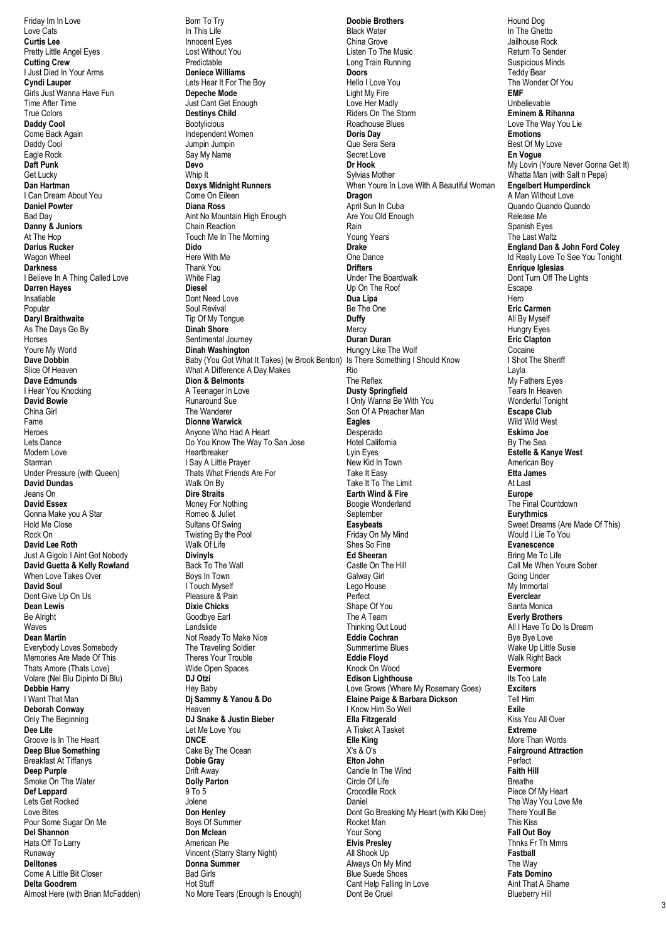Friday Im In Love Love Cats **Curtis Lee** Pretty Little Angel Eyes **Cutting Crew** I Just Died In Your Arms **Cyndi Lauper** Girls Just Wanna Have Fun Time After Time True Colors **Daddy Cool** Come Back Again Daddy Cool Eagle Rock **Daft Punk** Get Lucky **Dan Hartman** I Can Dream About You **Daniel Powter** Bad Day **Danny & Juniors** At The Hop **Darius Rucker** Wagon Wheel **Darkness** I Believe In A Thing Called Love **Darren Hayes** Insatiable Popular **Daryl Braithwaite** As The Days Go By Horses Youre My World **Dave Dobbin** Slice Of Heaven **Dave Edmunds** I Hear You Knocking **David Bowie** China Girl Fame Heroes Lets Dance Modern Love **Starman** Under Pressure (with Queen) **David Dundas** Jeans On **David Essex** Gonna Make you A Star Hold Me Close Rock On **David Lee Roth** Just A Gigolo I Aint Got Nobody **David Guetta & Kelly Rowland** When Love Takes Over **David Soul** Dont Give Up On Us **Dean Lewis** Be Alright **Mayoe Dean Martin** Everybody Loves Somebody Memories Are Made Of This Thats Amore (Thats Love) Volare (Nel Blu Dipinto Di Blu) **Debbie Harry** I Want That Man **Deborah Conway** Only The Beginning **Dee Lite** Groove Is In The Heart **Deep Blue Something** Breakfast At Tiffanys **Deep Purple** Smoke On The Water **Def Leppard** Lets Get Rocked Love Bites Pour Some Sugar On Me **Del Shannon** Hats Off To Larry Runaway **Delltones** Come A Little Bit Closer **Delta Goodrem** Almost Here (with Brian McFadden) Born To Try In This Life Innocent Eyes Lost Without You Predictable **Deniece Williams** Lets Hear It For The Boy **Depeche Mode** Just Cant Get Enough **Destinys Child Bootylicious** Independent Women Jumpin Jumpin Say My Name **Devo** Whin It **Dexys Midnight Runners** Come On Eileen **Diana Ross** Aint No Mountain High Enough Chain Reaction Touch Me In The Morning **Dido** Here With Me Thank You White Flag **Diesel** Dont Need Love Soul Revival Tip Of My Tongue **Dinah Shore** Sentimental Journey **Dinah Washington** Baby (You Got What It Takes) (w Brook Benton) Is There Something I Should Know What A Difference A Day Makes **Dion & Belmonts** A Teenager In Love Runaround Sue The Wanderer **Dionne Warwick** Anyone Who Had A Heart Do You Know The Way To San Jose Heartbreaker I Say A Little Prayer Thats What Friends Are For Walk On By **Dire Straits** Money For Nothing Romeo & Juliet Sultans Of Swing Twisting By the Pool Walk Of Life **Divinyls** Back To The Wall Boys In Town I Touch Myself Pleasure & Pain **Dixie Chicks** Goodbye Earl Landslide Not Ready To Make Nice The Traveling Soldier Theres Your Trouble Wide Open Spaces **DJ Otzi** Hey Baby **Dj Sammy & Yanou & Do** Heaven **DJ Snake & Justin Bieber** Let Me Love You **DNCE** Cake By The Ocean **Dobie Gray** Drift Away **Dolly Parton** 9 To 5 Jolene **Don Henley** Boys Of Summer **Don Mclean** American Pie Vincent (Starry Starry Night) **Donna Summer** Bad Girls Hot Stuff No More Tears (Enough Is Enough)

**Doobie Brothers** Black Water China Grove Listen To The Music Long Train Running **Doors** Hello I Love You Light My Fire Love Her Madly Riders On The Storm Roadhouse Blues **Doris Day** Que Sera Sera Secret Love **Dr Hook** Sylvias Mother When Youre In Love With A Beautiful Woman **Dragon** April Sun In Cuba Are You Old Enough Rain Young Years **Drake** One Dance **Drifters** Under The Boardwalk Up On The Roof **Dua Lipa** Be The One **Duffy Mercy Duran Duran** Hungry Like The Wolf Rio The Reflex **Dusty Springfield** I Only Wanna Be With You Son Of A Preacher Man **Eagles** Desperado Hotel California Lyin Eyes New Kid In Town Take It Easy Take It To The Limit **Earth Wind & Fire** Boogie Wonderland September **Easybeats** Friday On My Mind Shes So Fine **Ed Sheeran** Castle On The Hill Galway Girl Lego House Perfect Shape Of You The A Team Thinking Out Loud **Eddie Cochran** Summertime Blues **Eddie Floyd** Knock On Wood **Edison Lighthouse** Love Grows (Where My Rosemary Goes) **Elaine Paige & Barbara Dickson** I Know Him So Well **Ella Fitzgerald** A Tisket A Tasket **Elle King** X's & O's **Elton John** Candle In The Wind Circle Of Life Crocodile Rock Daniel Dont Go Breaking My Heart (with Kiki Dee) Rocket Man Your Song **Elvis Presley** All Shook Up Always On My Mind Blue Suede Shoes Cant Help Falling In Love Dont Be Cruel

Hound Dog In The Ghetto Jailhouse Rock Return To Sender Suspicious Minds Teddy Bear The Wonder Of You **EMF** Unbelievable **Eminem & Rihanna** Love The Way You Lie **Emotions** Best Of My Love **En Vogue** My Lovin (Youre Never Gonna Get It) Whatta Man (with Salt n Pepa) **Engelbert Humperdinck** A Man Without Love Quando Quando Quando Release Me Spanish Eyes The Last Waltz **England Dan & John Ford Coley** Id Really Love To See You Tonight **Enrique Iglesias** Dont Turn Off The Lights Escape Hero<sup>1</sup> **Eric Carmen** All By Myself Hungry Eyes **Eric Clapton** Cocaine I Shot The Sheriff Layla My Fathers Eyes Tears In Heaven Wonderful Tonight **Escape Club** Wild Wild West **Eskimo Joe** By The Sea **Estelle & Kanye West** American Boy **Etta James** At Last **Europe** The Final Countdown **Eurythmics** Sweet Dreams (Are Made Of This) Would I Lie To You **Evanescence** Bring Me To Life Call Me When Youre Sober Going Under My Immortal **Everclear** Santa Monica **Everly Brothers** All I Have To Do Is Dream Bye Bye Love Wake Up Little Susie Walk Right Back **Evermore** Its Too Late **Exciters** Tell Him **Exile** Kiss You All Over **Extreme** More Than Words **Fairground Attraction** Perfect **Faith Hill** Breathe Piece Of My Heart The Way You Love Me There Youll Be This Kiss **Fall Out Boy** Thnks Fr Th Mmrs **Fastball** The Way **Fats Domino** Aint That A Shame Blueberry Hill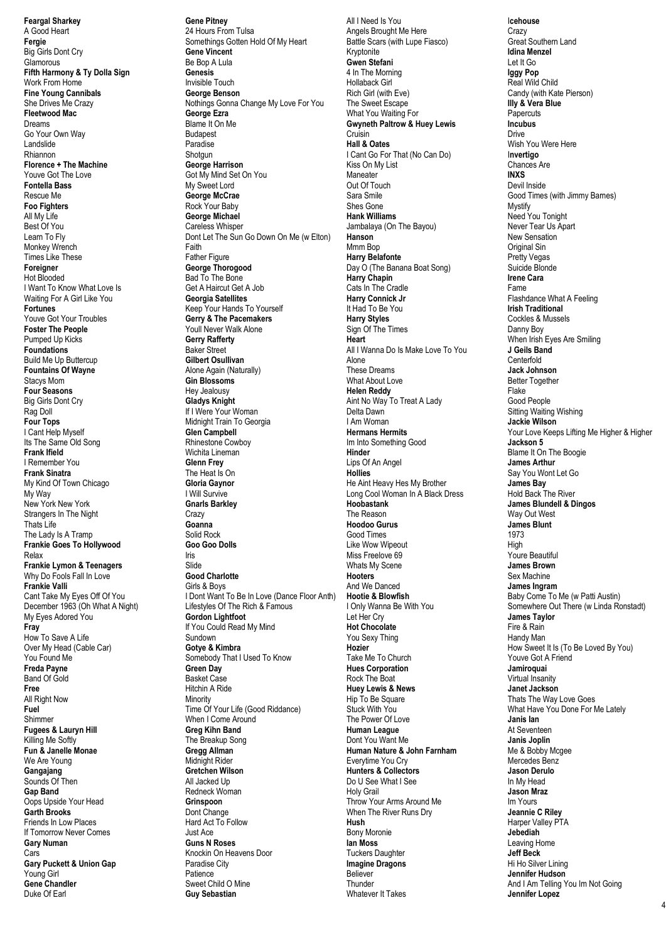**Feargal Sharkey** A Good Heart **Fergie** Big Girls Dont Cry **Glamorous Fifth Harmony & Ty Dolla Sign** Work From Home **Fine Young Cannibals** She Drives Me Crazy **Fleetwood Mac** Dreams Go Your Own Way Landslide Rhiannon **Florence + The Machine** Youve Got The Love **Fontella Bass** Rescue Me **Foo Fighters** All My Life Best Of You Learn To Fly Monkey Wrench Times Like These **Foreigner** Hot Blooded I Want To Know What Love Is Waiting For A Girl Like You **Fortunes** Youve Got Your Troubles **Foster The People** Pumped Up Kicks **Foundations** Build Me Up Buttercup **Fountains Of Wayne** Stacys Mom **Four Seasons** Big Girls Dont Cry Rag Doll **Four Tops** I Cant Help Myself Its The Same Old Song **Frank Ifield** I Remember You **Frank Sinatra** My Kind Of Town Chicago My Way New York New York Strangers In The Night Thats Life The Lady Is A Tramp **Frankie Goes To Hollywood** Relax **Frankie Lymon & Teenagers** Why Do Fools Fall In Love **Frankie Valli** Cant Take My Eyes Off Of You December 1963 (Oh What A Night) My Eyes Adored You **Fray** How To Save A Life Over My Head (Cable Car) You Found Me **Freda Payne** Band Of Gold **Free** All Right Now **Fuel** Shimmer **Fugees & Lauryn Hill** Killing Me Softly **Fun & Janelle Monae** We Are Young **Gangajang** Sounds Of Then **Gap Band** Oops Upside Your Head **Garth Brooks** Friends In Low Places If Tomorrow Never Comes **Gary Numan** Cars **Gary Puckett & Union Gap** Young Girl **Gene Chandler** Duke Of Earl

**Gene Pitney** 24 Hours From Tulsa Somethings Gotten Hold Of My Heart **Gene Vincent** Be Bop A Lula **Genesis** Invisible Touch **George Benson** Nothings Gonna Change My Love For You **George Ezra** Blame It On Me Budapest Paradise Shotgun **George Harrison** Got My Mind Set On You My Sweet Lord **George McCrae** Rock Your Baby **George Michael** Careless Whisper Dont Let The Sun Go Down On Me (w Elton) Faith Father Figure **George Thorogood** Bad To The Bone Get A Haircut Get A Job **Georgia Satellites** Keep Your Hands To Yourself **Gerry & The Pacemakers** Youll Never Walk Alone **Gerry Rafferty** Baker Street **Gilbert Osullivan** Alone Again (Naturally) **Gin Blossoms** Hey Jealousy **Gladys Knight** If I Were Your Woman Midnight Train To Georgia **Glen Campbell** Rhinestone Cowboy Wichita Lineman **Glenn Frey** The Heat Is On **Gloria Gaynor** I Will Survive **Gnarls Barkley** Crazy **Goanna** Solid Rock **Goo Goo Dolls** Iris Slide **Good Charlotte** Girls & Boys I Dont Want To Be In Love (Dance Floor Anth) Lifestyles Of The Rich & Famous **Gordon Lightfoot** If You Could Read My Mind Sundown **Gotye & Kimbra** Somebody That I Used To Know **Green Day** Basket Case Hitchin A Ride **Minority** Time Of Your Life (Good Riddance) When I Come Around **Greg Kihn Band** The Breakup Song **Gregg Allman** Midnight Rider **Gretchen Wilson** All Jacked Up Redneck Woman **Grinspoon** Dont Change Hard Act To Follow Just Ace **Guns N Roses** Knockin On Heavens Door Paradise City Patience Sweet Child O Mine **Guy Sebastian**

All I Need Is You Angels Brought Me Here Battle Scars (with Lupe Fiasco) Kryptonite **Gwen Stefani** 4 In The Morning Hollaback Girl Rich Girl (with Eve) The Sweet Escape What You Waiting For **Gwyneth Paltrow & Huey Lewis** Cruisin **Hall & Oates** I Cant Go For That (No Can Do) Kiss On My List Maneater Out Of Touch Sara Smile Shes Gone **Hank Williams** Jambalaya (On The Bayou) **Hanson** Mmm Bon **Harry Belafonte** Day O (The Banana Boat Song) **Harry Chapin** Cats In The Cradle **Harry Connick Jr** It Had To Be You **Harry Styles** Sign Of The Times **Heart** All I Wanna Do Is Make Love To You Alone These Dreams What About Love **Helen Reddy** Aint No Way To Treat A Lady Delta Dawn I Am Woman **Hermans Hermits** Im Into Something Good **Hinder** Lips Of An Angel **Hollies** He Aint Heavy Hes My Brother Long Cool Woman In A Black Dress **Hoobastank** The Reason **Hoodoo Gurus** Good Times Like Wow Wipeout Miss Freelove 69 Whats My Scene **Hooters** And We Danced **Hootie & Blowfish** I Only Wanna Be With You Let Her Cry **Hot Chocolate** You Sexy Thing **Hozier** Take Me To Church **Hues Corporation** Rock The Boat **Huey Lewis & News** Hip To Be Square Stuck With You The Power Of Love **Human League** Dont You Want Me **Human Nature & John Farnham** Everytime You Cry **Hunters & Collectors** Do U See What I See Holy Grail Throw Your Arms Around Me When The River Runs Dry **Hush** Bony Moronie **Ian Moss** Tuckers Daughter **Imagine Dragons** Believer **Thunder** Whatever It Takes

I**cehouse Crazy** Great Southern Land **Idina Menzel** Let It Go **Iggy Pop** Real Wild Child Candy (with Kate Pierson) **Illy & Vera Blue Papercuts Incubus** Drive Wish You Were Here I**nvertigo** Chances Are **INXS** Devil Inside Good Times (with Jimmy Barnes) Mystify Need You Tonight Never Tear Us Apart New Sensation Original Sin Pretty Vegas Suicide Blonde **Irene Cara** Fame Flashdance What A Feeling **Irish Traditional** Cockles & Mussels Danny Boy When Irish Eyes Are Smiling **J Geils Band** Centerfold **Jack Johnson** Better Together Flake Good People Sitting Waiting Wishing **Jackie Wilson** Your Love Keeps Lifting Me Higher & Higher **Jackson 5** Blame It On The Boogie **James Arthur** Say You Wont Let Go **James Bay** Hold Back The River **James Blundell & Dingos** Way Out West **James Blunt** 1973 High Youre Beautiful **James Brown** Sex Machine **James Ingram** Baby Come To Me (w Patti Austin) Somewhere Out There (w Linda Ronstadt) **James Taylor** Fire & Rain Handy Man How Sweet It Is (To Be Loved By You) Youve Got A Friend **Jamiroquai** Virtual Insanity **Janet Jackson** Thats The Way Love Goes What Have You Done For Me Lately **Janis Ian** At Seventeen **Janis Joplin** Me & Bobby Mcgee Mercedes Benz **Jason Derulo** In My Head **Jason Mraz** Im Yours **Jeannie C Riley** Harper Valley PTA **Jebediah** Leaving Home **Jeff Beck** Hi Ho Silver Lining **Jennifer Hudson** And I Am Telling You Im Not Going **Jennifer Lopez**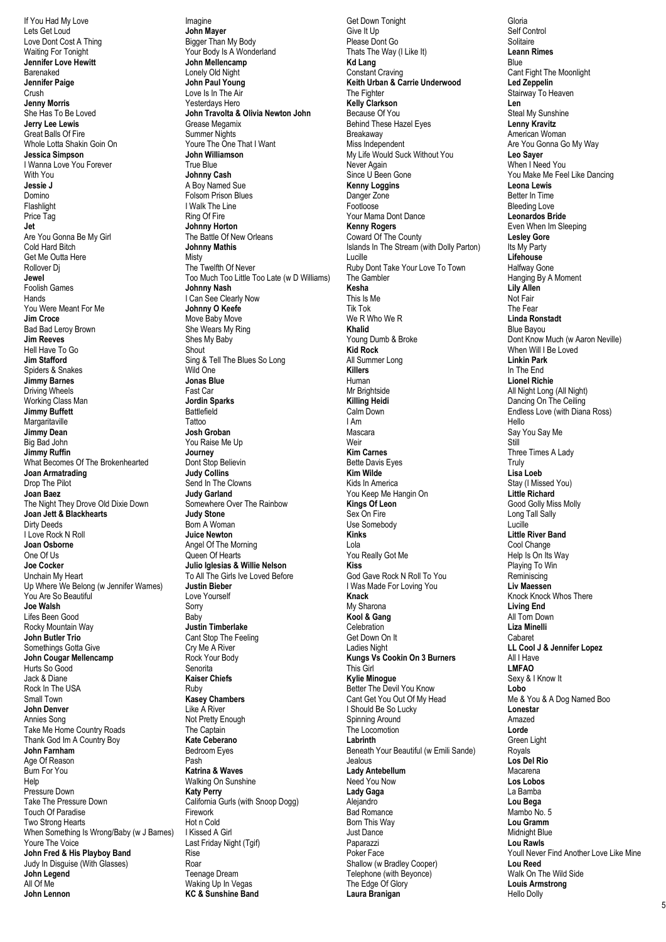If You Had My Love Lets Get Loud Love Dont Cost A Thing Waiting For Tonight **Jennifer Love Hewitt** Barenaked **Jennifer Paige** Crush **Jenny Morris** She Has To Be Loved **Jerry Lee Lewis** Great Balls Of Fire Whole Lotta Shakin Goin On **Jessica Simpson** I Wanna Love You Forever With You **Jessie J** Domino Flashlight Price Tag **Jet** Are You Gonna Be My Girl Cold Hard Bitch Get Me Outta Here Rollover Dj **Jewel** Foolish Games Hands You Were Meant For Me **Jim Croce** Bad Bad Leroy Brown **Jim Reeves** Hell Have To Go **Jim Stafford** Spiders & Snakes **Jimmy Barnes** Driving Wheels Working Class Man **Jimmy Buffett Margaritaville Jimmy Dean** Big Bad John **Jimmy Ruffin** What Becomes Of The Brokenhearted **Joan Armatrading** Drop The Pilot **Joan Baez** The Night They Drove Old Dixie Down **Joan Jett & Blackhearts** Dirty Deeds I Love Rock N Roll **Joan Osborne** One Of Us **Joe Cocker** Unchain My Heart Up Where We Belong (w Jennifer Warnes) You Are So Beautiful **Joe Walsh** Lifes Been Good Rocky Mountain Way **John Butler Trio** Somethings Gotta Give **John Cougar Mellencamp** Hurts So Good Jack & Diane Rock In The USA Small Town **John Denver** Annies Song Take Me Home Country Roads Thank God Im A Country Boy **John Farnham** Age Of Reason Burn For You Help Pressure Down Take The Pressure Down Touch Of Paradise Two Strong Hearts When Something Is Wrong/Baby (w J Barnes) Youre The Voice **John Fred & His Playboy Band** Judy In Disguise (With Glasses) **John Legend** All Of Me **John Lennon**

Imagine **John Mayer** Bigger Than My Body Your Body Is A Wonderland **John Mellencamp** Lonely Old Night **John Paul Young** Love Is In The Air Yesterdays Hero **John Travolta & Olivia Newton John** Grease Megamix Summer Nights Youre The One That I Want **John Williamson** True Blue **Johnny Cash** A Boy Named Sue Folsom Prison Blues I Walk The Line Ring Of Fire **Johnny Horton** The Battle Of New Orleans **Johnny Mathis** Misty The Twelfth Of Never Too Much Too Little Too Late (w D Williams) **Johnny Nash** I Can See Clearly Now **Johnny O Keefe** Move Baby Move She Wears My Ring Shes My Baby Shout Sing & Tell The Blues So Long Wild One **Jonas Blue** Fast Car **Jordin Sparks Battlefield** Tattoo **Josh Groban** You Raise Me Up **Journey** Dont Stop Believin **Judy Collins** Send In The Clowns **Judy Garland** Somewhere Over The Rainbow **Judy Stone** Born A Woman **Juice Newton** Angel Of The Morning Queen Of Hearts **Julio Iglesias & Willie Nelson** To All The Girls Ive Loved Before **Justin Bieber** Love Yourself Sorry Baby **Justin Timberlake** Cant Stop The Feeling Cry Me A River Rock Your Body Senorita **Kaiser Chiefs** Ruby **Kasey Chambers** Like A River Not Pretty Enough The Captain **Kate Ceberano** Bedroom Eyes Pash **Katrina & Waves** Walking On Sunshine **Katy Perry** California Gurls (with Snoop Dogg) Firework Hot n Cold I Kissed A Girl Last Friday Night (Tgif) Rise Roar Teenage Dream Waking Up In Vegas **KC & Sunshine Band**

Get Down Tonight Give It Up Please Dont Go Thats The Way (I Like It) **Kd Lang** Constant Craving **Keith Urban & Carrie Underwood** The Fighter **Kelly Clarkson** Because Of You Behind These Hazel Eyes Breakaway Miss Independent My Life Would Suck Without You Never Again Since U Been Gone **Kenny Loggins** Danger Zone Footloose Your Mama Dont Dance **Kenny Rogers** Coward Of The County Islands In The Stream (with Dolly Parton) Lucille Ruby Dont Take Your Love To Town The Gambler **Kesha** This Is Me Tik Tok We R Who We R **Khalid** Young Dumb & Broke **Kid Rock** All Summer Long **Killers** Human Mr Brightside **Killing Heidi** Calm Down I Am Mascara Weir **Kim Carnes** Bette Davis Eyes **Kim Wilde** Kids In America You Keep Me Hangin On **Kings Of Leon** Sex On Fire Use Somebody **Kinks** Lola You Really Got Me **Kiss** God Gave Rock N Roll To You I Was Made For Loving You **Knack** My Sharona **Kool & Gang** Celebration Get Down On It Ladies Night **Kungs Vs Cookin On 3 Burners** This Girl **Kylie Minogue** Better The Devil You Know Cant Get You Out Of My Head I Should Be So Lucky Spinning Around The Locomotion **Labrinth** Beneath Your Beautiful (w Emili Sande) Jealous **Lady Antebellum** Need You Now **Lady Gaga** Alejandro Bad Romance Born This Way Just Dance Paparazzi Poker Face Shallow (w Bradley Cooper) Telephone (with Beyonce) The Edge Of Glory **Laura Branigan**

Gloria Self Control Solitaire **Leann Rimes** Blue Cant Fight The Moonlight **Led Zeppelin** Stairway To Heaven **Len** Steal My Sunshine **Lenny Kravitz** American Woman Are You Gonna Go My Way **Leo Sayer** When I Need You You Make Me Feel Like Dancing **Leona Lewis** Better In Time Bleeding Love **Leonardos Bride** Even When Im Sleeping **Lesley Gore** Its My Party **Lifehouse** Halfway Gone Hanging By A Moment **Lily Allen** Not Fair The Fear **Linda Ronstadt** Blue Bayou Dont Know Much (w Aaron Neville) When Will I Be Loved **Linkin Park** In The End **Lionel Richie** All Night Long (All Night) Dancing On The Ceiling Endless Love (with Diana Ross) Hello Say You Say Me **Still** Three Times A Lady Truly **Lisa Loeb** Stay (I Missed You) **Little Richard** Good Golly Miss Molly Long Tall Sally Lucille **Little River Band** Cool Change Help Is On Its Way Playing To Win Reminiscing **Liv Maessen** Knock Knock Whos There **Living End** All Torn Down **Liza Minelli** Cabaret **LL Cool J & Jennifer Lopez** All I Have **LMFAO** Sexy & I Know It **Lobo** Me & You & A Dog Named Boo **Lonestar** Amazed **Lorde** Green Light Royals **Los Del Rio** Macarena **Los Lobos** La Bamba **Lou Bega** Mambo No. 5 **Lou Gramm** Midnight Blue **Lou Rawls** Youll Never Find Another Love Like Mine **Lou Reed** Walk On The Wild Side **Louis Armstrong**

Hello Dolly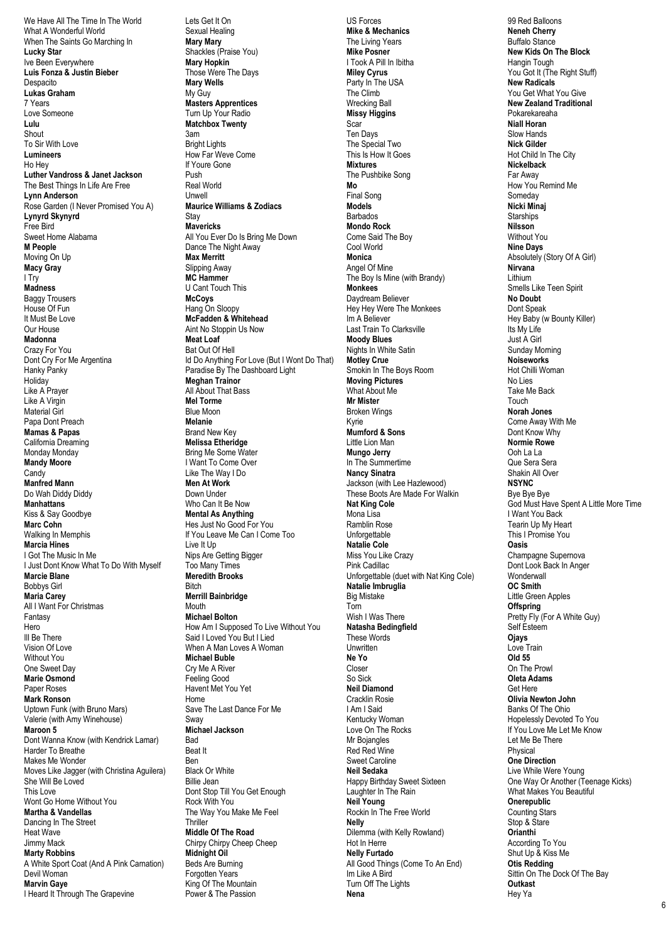We Have All The Time In The World What A Wonderful World When The Saints Go Marching In **Lucky Star** Ive Been Everywhere **Luis Fonza & Justin Bieber** Despacito **Lukas Graham** 7 Years Love Someone **Lulu Shout** To Sir With Love **Lumineers** Ho Hey **Luther Vandross & Janet Jackson** The Best Things In Life Are Free **Lynn Anderson** Rose Garden (I Never Promised You A) **Lynyrd Skynyrd** Free Bird Sweet Home Alabama **M People** Moving On Up **Macy Gray** I Try **Madness** Baggy Trousers House Of Fun It Must Be Love Our House **Madonna** Crazy For You Dont Cry For Me Argentina Hanky Panky **Holiday** Like A Prayer Like A Virgin Material Girl Papa Dont Preach **Mamas & Papas** California Dreaming Monday Monday **Mandy Moore Candy Manfred Mann** Do Wah Diddy Diddy **Manhattans** Kiss & Say Goodbye **Marc Cohn** Walking In Memphis **Marcia Hines** I Got The Music In Me I Just Dont Know What To Do With Myself **Marcie Blane** Bobbys Girl **Maria Carey** All I Want For Christmas **Fantasy** Hero Ill Be There Vision Of Love Without You One Sweet Day **Marie Osmond** Paper Roses **Mark Ronson** Uptown Funk (with Bruno Mars) Valerie (with Amy Winehouse) **Maroon 5** Dont Wanna Know (with Kendrick Lamar) Harder To Breathe Makes Me Wonder Moves Like Jagger (with Christina Aguilera) She Will Be Loved This Love Wont Go Home Without You **Martha & Vandellas** Dancing In The Street Heat Wave Jimmy Mack **Marty Robbins** A White Sport Coat (And A Pink Carnation) Devil Woman **Marvin Gaye** I Heard It Through The Grapevine

Lets Get It On Sexual Healing **Mary Mary** Shackles (Praise You) **Mary Hopkin** Those Were The Days **Mary Wells** My Guy **Masters Apprentices** Turn Up Your Radio **Matchbox Twenty** 3am Bright Lights How Far Weve Come If Youre Gone Push Real World Unwell **Maurice Williams & Zodiacs Stay Mavericks** All You Ever Do Is Bring Me Down Dance The Night Away **Max Merritt** Slipping Away **MC Hammer** U Cant Touch This **McCoys** Hang On Sloopy **McFadden & Whitehead** Aint No Stoppin Us Now **Meat Loaf** Bat Out Of Hell Id Do Anything For Love (But I Wont Do That) Paradise By The Dashboard Light **Meghan Trainor** All About That Bass **Mel Torme** Blue Moon **Melanie** Brand New Key **Melissa Etheridge** Bring Me Some Water I Want To Come Over Like The Way I Do **Men At Work** Down Under Who Can It Be Now **Mental As Anything** Hes Just No Good For You If You Leave Me Can I Come Too Live It Up Nips Are Getting Bigger Too Many Times **Meredith Brooks** Bitch **Merrill Bainbridge** Mouth **Michael Bolton** How Am I Supposed To Live Without You Said I Loved You But I Lied When A Man Loves A Woman **Michael Buble** Cry Me A River Feeling Good Havent Met You Yet Home Save The Last Dance For Me Sway **Michael Jackson Bad** Beat It Ben Black Or White Billie Jean Dont Stop Till You Get Enough Rock With You The Way You Make Me Feel **Thriller Middle Of The Road** Chirpy Chirpy Cheep Cheep **Midnight Oil** Beds Are Burning Forgotten Years King Of The Mountain

Power & The Passion

**Nena**

US Forces **Mike & Mechanics** The Living Years **Mike Posner** I Took A Pill In Ibitha **Miley Cyrus** Party In The USA The Climb Wrecking Ball **Missy Higgins** Scar Ten Days The Special Two This Is How It Goes **Mixtures** The Pushbike Song **Mo** Final Song **Models** Barbados **Mondo Rock** Come Said The Boy Cool World **Monica** Angel Of Mine The Boy Is Mine (with Brandy) **Monkees** Daydream Believer Hey Hey Were The Monkees Im A Believer Last Train To Clarksville **Moody Blues** Nights In White Satin **Motley Crue** Smokin In The Boys Room **Moving Pictures** What About Me **Mr Mister** Broken Wings Kyrie **Mumford & Sons** Little Lion Man **Mungo Jerry** In The Summertime **Nancy Sinatra** Jackson (with Lee Hazlewood) These Boots Are Made For Walkin **Nat King Cole** Mona Lisa Ramblin Rose Unforgettable **Natalie Cole** Miss You Like Crazy Pink Cadillac Unforgettable (duet with Nat King Cole) **Natalie Imbruglia** Big Mistake Torn Wish I Was There **Natasha Bedingfield** These Words Unwritten **Ne Yo** Closer So Sick **Neil Diamond** Cracklin Rosie I Am I Said Kentucky Woman Love On The Rocks Mr Bojangles Red Red Wine Sweet Caroline **Neil Sedaka** Happy Birthday Sweet Sixteen Laughter In The Rain **Neil Young** Rockin In The Free World **Nelly** Dilemma (with Kelly Rowland) Hot In Herre **Nelly Furtado** All Good Things (Come To An End) Im Like A Bird Turn Off The Lights

99 Red Balloons **Neneh Cherry** Buffalo Stance **New Kids On The Block** Hangin Tough You Got It (The Right Stuff) **New Radicals** You Get What You Give **New Zealand Traditional** Pokarekareaha **Niall Horan** Slow Hands **Nick Gilder** Hot Child In The City **Nickelback** Far Away How You Remind Me Someday **Nicki Minaj Starships Nilsson** Without You **Nine Days** Absolutely (Story Of A Girl) **Nirvana** Lithium Smells Like Teen Spirit **No Doubt** Dont Speak Hey Baby (w Bounty Killer) Its My Life Just A Girl Sunday Morning **Noiseworks** Hot Chilli Woman No Lies Take Me Back Touch **Norah Jones** Come Away With Me Dont Know Why **Normie Rowe** Ooh La La Que Sera Sera Shakin All Over **NSYNC** Bye Bye Bye God Must Have Spent A Little More Time I Want You Back Tearin Up My Heart This I Promise You **Oasis** Champagne Supernova Dont Look Back In Anger **Wonderwall OC Smith** Little Green Apples **Offspring** Pretty Fly (For A White Guy) Self Esteem **Ojays** Love Train **Old 55** On The Prowl **Oleta Adams** Get Here **Olivia Newton John** Banks Of The Ohio Hopelessly Devoted To You If You Love Me Let Me Know Let Me Be There Physical **One Direction** Live While Were Young One Way Or Another (Teenage Kicks) What Makes You Beautiful **Onerepublic** Counting Stars Stop & Stare **Orianthi** According To You Shut Up & Kiss Me **Otis Redding** Sittin On The Dock Of The Bay **Outkast**

Hey Ya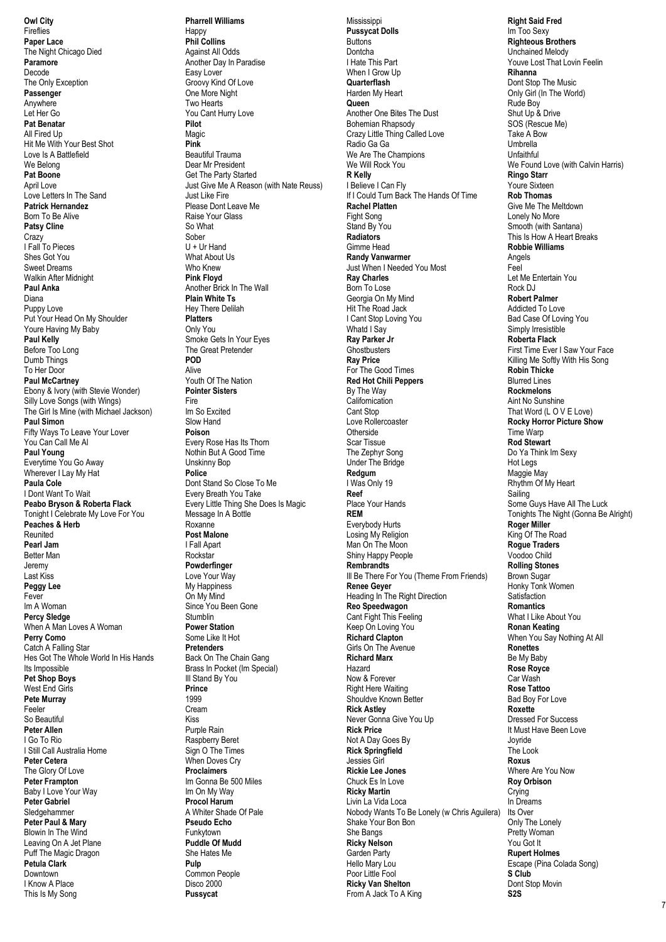**Owl City** Fireflies **Paper Lace** The Night Chicago Died **Paramore** Decode The Only Exception **Passenger** Anywhere Let Her Go **Pat Benatar** All Fired Up Hit Me With Your Best Shot Love Is A Battlefield We Belong **Pat Boone** April Love Love Letters In The Sand **Patrick Hernandez** Born To Be Alive **Patsy Cline** Crazy I Fall To Pieces Shes Got You Sweet Dreams Walkin After Midnight **Paul Anka** Diana Puppy Love Put Your Head On My Shoulder Youre Having My Baby **Paul Kelly** Before Too Long Dumb Things To Her Door **Paul McCartney** Ebony & Ivory (with Stevie Wonder) Silly Love Songs (with Wings) The Girl Is Mine (with Michael Jackson) **Paul Simon** Fifty Ways To Leave Your Lover You Can Call Me Al **Paul Young** Everytime You Go Away Wherever I Lay My Hat **Paula Cole** I Dont Want To Wait **Peabo Bryson & Roberta Flack** Tonight I Celebrate My Love For You **Peaches & Herb** Reunited **Pearl Jam** Better Man Jeremy Last Kiss **Peggy Lee** Fever Im A Woman **Percy Sledge** When A Man Loves A Woman **Perry Como** Catch A Falling Star Hes Got The Whole World In His Hands Its Impossible **Pet Shop Boys** West End Girls **Pete Murray** Feeler So Beautiful **Peter Allen** I Go To Rio I Still Call Australia Home **Peter Cetera** The Glory Of Love **Peter Frampton** Baby I Love Your Way **Peter Gabriel** Sledgehammer **Peter Paul & Mary** Blowin In The Wind Leaving On A Jet Plane Puff The Magic Dragon **Petula Clark** Downtown I Know A Place This Is My Song

**Pharrell Williams** Happy **Phil Collins** Against All Odds Another Day In Paradise Easy Lover Groovy Kind Of Love One More Night Two Hearts You Cant Hurry Love **Pilot** Magic **Pink** Beautiful Trauma Dear Mr President Get The Party Started Just Give Me A Reason (with Nate Reuss) Just Like Fire Please Dont Leave Me Raise Your Glass So What Sober U + Ur Hand What About Us Who Knew **Pink Floyd** Another Brick In The Wall **Plain White Ts** Hey There Delilah **Platters** Only You Smoke Gets In Your Eyes The Great Pretender **POD** Alive Youth Of The Nation **Pointer Sisters** Fire Im So Excited Slow Hand **Poison** Every Rose Has Its Thorn Nothin But A Good Time Unskinny Bop **Police** Dont Stand So Close To Me Every Breath You Take Every Little Thing She Does Is Magic Message In A Bottle Roxanne **Post Malone** I Fall Apart Rockstar **Powderfinger** Love Your Way **My Happiness** On My Mind Since You Been Gone Stumblin **Power Station** Some Like It Hot **Pretenders** Back On The Chain Gang Brass In Pocket (Im Special) Ill Stand By You **Prince** 1999 Cream Kiss Purple Rain Raspberry Beret Sign O The Times When Doves Cry **Proclaimers** Im Gonna Be 500 Miles Im On My Way **Procol Harum** A Whiter Shade Of Pale **Pseudo Echo** Funkytown **Puddle Of Mudd** She Hates Me **Pulp** Common People Disco 2000 **Pussycat**

Mississippi **Pussycat Dolls Buttons** Dontcha I Hate This Part When I Grow Up **Quarterflash** Harden My Heart **Queen** Another One Bites The Dust Bohemian Rhapsody Crazy Little Thing Called Love Radio Ga Ga We Are The Champions We Will Rock You **R Kelly** I Believe I Can Fly If I Could Turn Back The Hands Of Time **Rachel Platten** Fight Song Stand By You **Radiators** Gimme Head **Randy Vanwarmer** Just When I Needed You Most **Ray Charles** Born To Lose Georgia On My Mind Hit The Road Jack I Cant Stop Loving You Whatd I Sav **Ray Parker Jr Ghostbusters Ray Price** For The Good Times **Red Hot Chili Peppers** By The Way Californication Cant Stop Love Rollercoaster Otherside Scar Tissue The Zephyr Song Under The Bridge **Redgum** I Was Only 19 **Reef** Place Your Hands **REM** Everybody Hurts Losing My Religion Man On The Moon Shiny Happy People **Rembrandts** Ill Be There For You (Theme From Friends) **Renee Geyer** Heading In The Right Direction **Reo Speedwagon** Cant Fight This Feeling Keep On Loving You **Richard Clapton** Girls On The Avenue **Richard Marx** Hazard Now & Forever Right Here Waiting Shouldve Known Better **Rick Astley** Never Gonna Give You Up **Rick Price** Not A Day Goes By **Rick Springfield** Jessies Girl **Rickie Lee Jones** Chuck Es In Love **Ricky Martin** Livin La Vida Loca Nobody Wants To Be Lonely (w Chris Aguilera) Shake Your Bon Bon She Bangs **Ricky Nelson** Garden Party Hello Mary Lou Poor Little Fool **Ricky Van Shelton** From A Jack To A King

**Right Said Fred** Im Too Sexy **Righteous Brothers** Unchained Melody Youve Lost That Lovin Feelin **Rihanna** Dont Stop The Music Only Girl (In The World) Rude Boy Shut Up & Drive SOS (Rescue Me) Take A Bow Umbrella Unfaithful We Found Love (with Calvin Harris) **Ringo Starr** Youre Sixteen **Rob Thomas** Give Me The Meltdown Lonely No More Smooth (with Santana) This Is How A Heart Breaks **Robbie Williams** Angels Feel Let Me Entertain You Rock DJ **Robert Palmer** Addicted To Love Bad Case Of Loving You Simply Irresistible **Roberta Flack** First Time Ever I Saw Your Face Killing Me Softly With His Song **Robin Thicke** Blurred Lines **Rockmelons** Aint No Sunshine That Word (L O V E Love) **Rocky Horror Picture Show** Time Warp **Rod Stewart** Do Ya Think Im Sexy Hot Legs Maggie May Rhythm Of My Heart **Sailing** Some Guys Have All The Luck Tonights The Night (Gonna Be Alright) **Roger Miller** King Of The Road **Rogue Traders** Voodoo Child **Rolling Stones** Brown Sugar Honky Tonk Women **Satisfaction Romantics** What I Like About You **Ronan Keating** When You Say Nothing At All **Ronettes** Be My Baby **Rose Royce** Car Wash **Rose Tattoo** Bad Boy For Love **Roxette** Dressed For Success It Must Have Been Love Joyride The Look **Roxus** Where Are You Now **Roy Orbison** Crying In Dreams Its Over Only The Lonely Pretty Woman You Got It **Rupert Holmes** Escape (Pina Colada Song) **S Club** Dont Stop Movin

**S2S**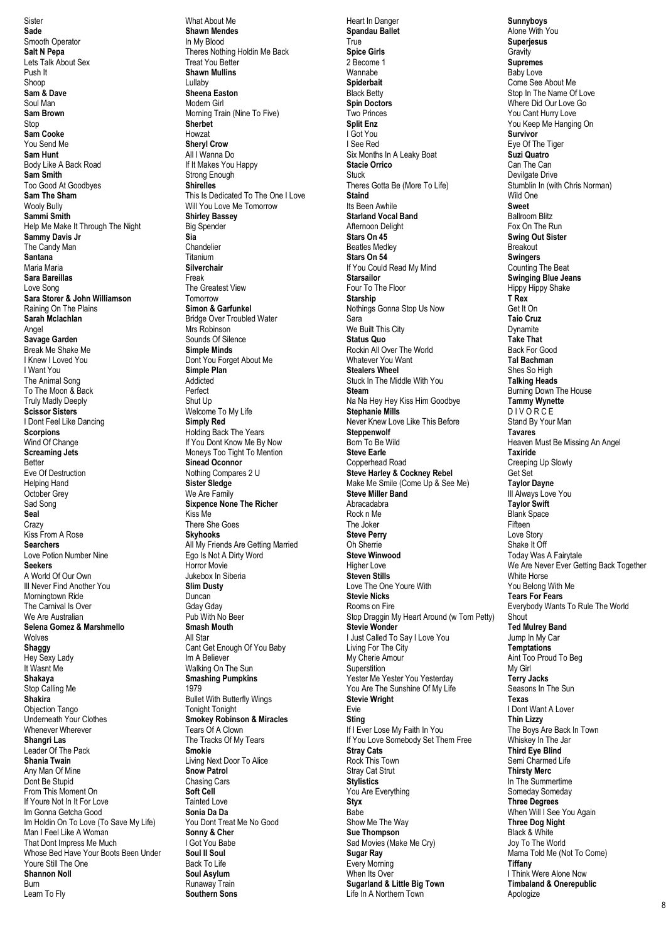Sister **Sade** Smooth Operator **Salt N Pepa** Lets Talk About Sex Push It Shoop **Sam & Dave** Soul Man **Sam Brown** Stop **Sam Cooke** You Send Me **Sam Hunt** Body Like A Back Road **Sam Smith** Too Good At Goodbyes **Sam The Sham** Wooly Bully **Sammi Smith** Help Me Make It Through The Night **Sammy Davis Jr** The Candy Man **Santana** Maria Maria **Sara Bareillas** Love Song **Sara Storer & John Williamson** Raining On The Plains **Sarah Mclachlan** Angel **Savage Garden** Break Me Shake Me I Knew I Loved You I Want You The Animal Song To The Moon & Back Truly Madly Deeply **Scissor Sisters** I Dont Feel Like Dancing **Scorpions** Wind Of Change **Screaming Jets** Better Eve Of Destruction Helping Hand October Grey Sad Song **Seal Crazy** Kiss From A Rose **Searchers** Love Potion Number Nine **Seekers** A World Of Our Own Ill Never Find Another You Morningtown Ride The Carnival Is Over We Are Australian **Selena Gomez & Marshmello Wolves Shaggy** Hey Sexy Lady It Wasnt Me **Shakaya** Stop Calling Me **Shakira** Objection Tango Underneath Your Clothes Whenever Wherever **Shangri Las** Leader Of The Pack **Shania Twain** Any Man Of Mine Dont Be Stupid From This Moment On If Youre Not In It For Love Im Gonna Getcha Good Im Holdin On To Love (To Save My Life) Man I Feel Like A Woman That Dont Impress Me Much Whose Bed Have Your Boots Been Under Youre Still The One **Shannon Noll** Burn Learn To Fly

What About Me **Shawn Mendes** In My Blood Theres Nothing Holdin Me Back Treat You Better **Shawn Mullins** Lullaby **Sheena Easton** Modern Girl Morning Train (Nine To Five) **Sherbet** Howzat **Sheryl Crow** All I Wanna Do If It Makes You Happy Strong Enough **Shirelles** This Is Dedicated To The One I Love Will You Love Me Tomorrow **Shirley Bassey** Big Spender **Sia** Chandelier Titanium **Silverchair** Freak The Greatest View Tomorrow **Simon & Garfunkel** Bridge Over Troubled Water Mrs Robinson Sounds Of Silence **Simple Minds** Dont You Forget About Me **Simple Plan** Addicted Perfect Shut Up Welcome To My Life **Simply Red** Holding Back The Years If You Dont Know Me By Now Moneys Too Tight To Mention **Sinead Oconnor** Nothing Compares 2 U **Sister Sledge** We Are Family **Sixpence None The Richer** Kiss Me There She Goes **Skyhooks** All My Friends Are Getting Married Ego Is Not A Dirty Word Horror Movie Jukebox In Siberia **Slim Dusty** Duncan Gday Gday Pub With No Beer **Smash Mouth** All Star Cant Get Enough Of You Baby Im A Believer Walking On The Sun **Smashing Pumpkins** 1979 Bullet With Butterfly Wings Tonight Tonight **Smokey Robinson & Miracles** Tears Of A Clown The Tracks Of My Tears **Smokie** Living Next Door To Alice **Snow Patrol** Chasing Cars **Soft Cell** Tainted Love **Sonia Da Da** You Dont Treat Me No Good **Sonny & Cher** I Got You Babe **Soul II Soul** Back To Life **Soul Asylum** Runaway Train **Southern Sons**

Heart In Danger **Spandau Ballet** True **Spice Girls** 2 Become 1 Wannabe **Spiderbait** Black Betty **Spin Doctors** Two Princes **Split Enz** I Got You I See Red Six Months In A Leaky Boat **Stacie Orrico Stuck** Theres Gotta Be (More To Life) **Staind** Its Been Awhile **Starland Vocal Band** Afternoon Delight **Stars On 45** Beatles Medley **Stars On 54** If You Could Read My Mind **Starsailor** Four To The Floor **Starship** Nothings Gonna Stop Us Now Sara We Built This City **Status Quo** Rockin All Over The World Whatever You Want **Stealers Wheel** Stuck In The Middle With You **Steam** Na Na Hey Hey Kiss Him Goodbye **Stephanie Mills** Never Knew Love Like This Before **Steppenwolf** Born To Be Wild **Steve Earle** Copperhead Road **Steve Harley & Cockney Rebel** Make Me Smile (Come Up & See Me) **Steve Miller Band** Abracadabra Rock n Me The Joker **Steve Perry** Oh Sherrie **Steve Winwood** Higher Love **Steven Stills** Love The One Youre With **Stevie Nicks** Rooms on Fire Stop Draggin My Heart Around (w Tom Petty) **Stevie Wonder** I Just Called To Say I Love You Living For The City My Cherie Amour Superstition Yester Me Yester You Yesterday You Are The Sunshine Of My Life **Stevie Wright** Evie **Sting** If I Ever Lose My Faith In You If You Love Somebody Set Them Free **Stray Cats** Rock This Town Stray Cat Strut **Stylistics** You Are Everything **Styx** Babe Show Me The Way **Sue Thompson** Sad Movies (Make Me Cry) **Sugar Ray** Every Morning When Its Over **Sugarland & Little Big Town** Life In A Northern Town

**Sunnyboys** Alone With You **Superjesus Gravity Supremes** Baby Love Come See About Me Stop In The Name Of Love Where Did Our Love Go You Cant Hurry Love You Keep Me Hanging On **Survivor** Eye Of The Tiger **Suzi Quatro** Can The Can Devilgate Drive Stumblin In (with Chris Norman) Wild One **Sweet** Ballroom Blitz Fox On The Run **Swing Out Sister** Breakout **Swingers** Counting The Beat **Swinging Blue Jeans** Hippy Hippy Shake **T Rex** Get It On **Taio Cruz** Dynamite **Take That** Back For Good **Tal Bachman** Shes So High **Talking Heads** Burning Down The House **Tammy Wynette** D I V OR CE Stand By Your Man **Tavares** Heaven Must Be Missing An Angel **Taxiride** Creeping Up Slowly Get Set **Taylor Dayne** Ill Always Love You **Taylor Swift** Blank Space Fifteen Love Story Shake It Off Today Was A Fairytale We Are Never Ever Getting Back Together White Horse You Belong With Me **Tears For Fears** Everybody Wants To Rule The World **Shout Ted Mulrey Band** Jump In My Car **Temptations** Aint Too Proud To Beg My Girl **Terry Jacks** Seasons In The Sun **Texas** I Dont Want A Lover **Thin Lizzy** The Boys Are Back In Town Whiskey In The Jar **Third Eye Blind** Semi Charmed Life **Thirsty Merc** In The Summertime Someday Someday **Three Degrees** When Will I See You Again **Three Dog Night** Black & White Joy To The World Mama Told Me (Not To Come) **Tiffany** I Think Were Alone Now **Timbaland & Onerepublic** Apologize